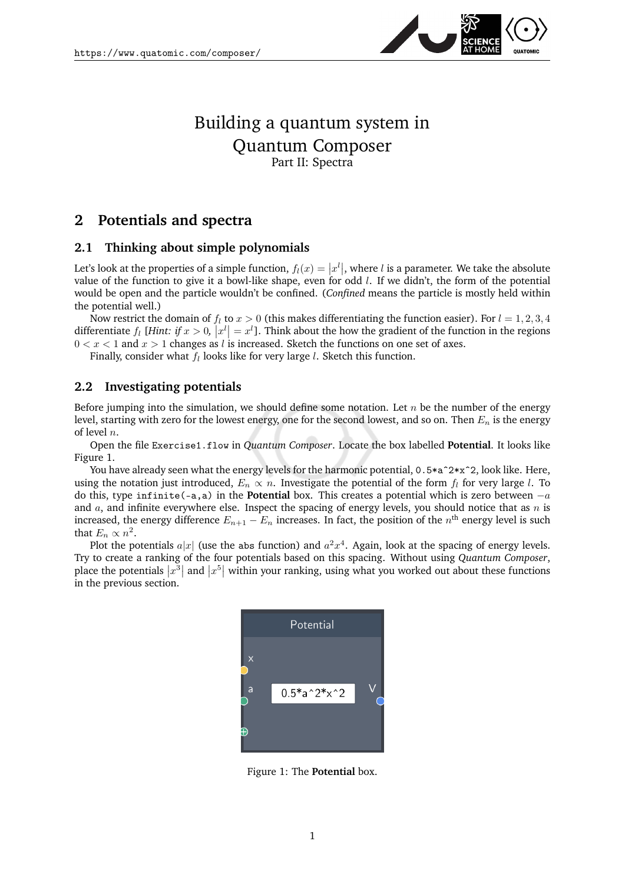

## Building a quantum system in Quantum Composer Part II: Spectra

## **2 Potentials and spectra**

## **2.1 Thinking about simple polynomials**

Let's look at the properties of a simple function,  $f_l(x) = |x^l|$ , where l is a parameter. We take the absolute value of the function to give it a bowl-like shape, even for odd  $l$ . If we didn't, the form of the potential would be open and the particle wouldn't be confined. (*Confined* means the particle is mostly held within the potential well.)

Now restrict the domain of  $f_l$  to  $x > 0$  (this makes differentiating the function easier). For  $l = 1, 2, 3, 4$ differentiate  $f_l$  [*Hint: if*  $x > 0$ ,  $|x^l| = x^l$ ]. Think about the how the gradient of the function in the regions  $0 < x < 1$  and  $x > 1$  changes as l is increased. Sketch the functions on one set of axes.

Finally, consider what  $f_l$  looks like for very large  $l$ . Sketch this function.

## **2.2 Investigating potentials**

Before jumping into the simulation, we should define some notation. Let  $n$  be the number of the energy level, starting with zero for the lowest energy, one for the second lowest, and so on. Then  $E_n$  is the energy of level n.

Open the file Exercise1.flow in *Quantum Composer*. Locate the box labelled **Potential**. It looks like Figure [1.](#page-0-0)

You have already seen what the energy levels for the harmonic potential, 0.5\*aˆ2\*xˆ2, look like. Here, using the notation just introduced,  $E_n \propto n$ . Investigate the potential of the form  $f_l$  for very large l. To do this, type infinite(-a,a) in the **Potential** box. This creates a potential which is zero between −a and  $a$ , and infinite everywhere else. Inspect the spacing of energy levels, you should notice that as  $n$  is increased, the energy difference  $E_{n+1}-E_n$  increases. In fact, the position of the  $n^{\rm th}$  energy level is such that  $E_n \propto n^2$ .

Plot the potentials  $a|x|$  (use the abs function) and  $a^2x^4$ . Again, look at the spacing of energy levels. Try to create a ranking of the four potentials based on this spacing. Without using *Quantum Composer*, place the potentials  $|x^3|$  and  $|x^5|$  within your ranking, using what you worked out about these functions in the previous section.



<span id="page-0-0"></span>Figure 1: The **Potential** box.